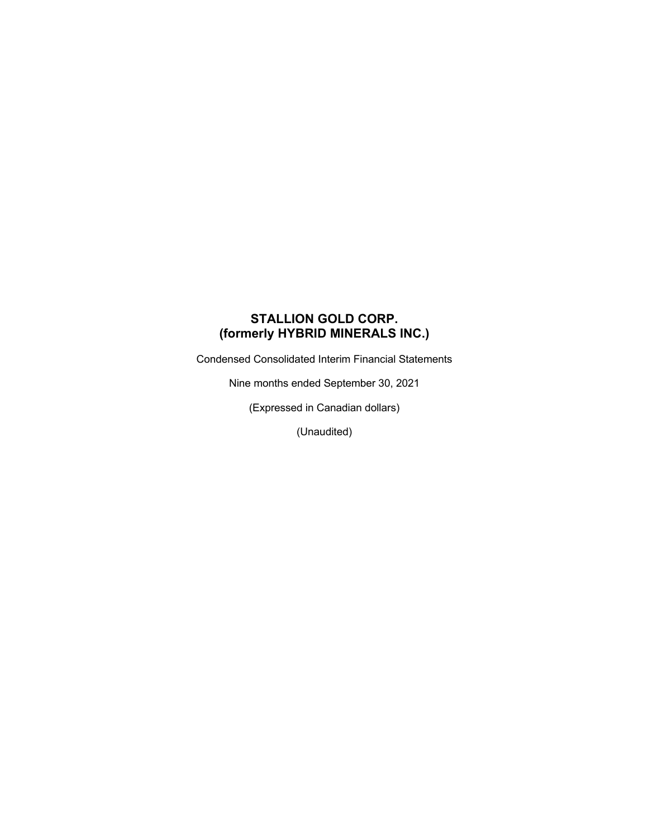# **STALLION GOLD CORP. (formerly HYBRID MINERALS INC.)**

Condensed Consolidated Interim Financial Statements

Nine months ended September 30, 2021

(Expressed in Canadian dollars)

(Unaudited)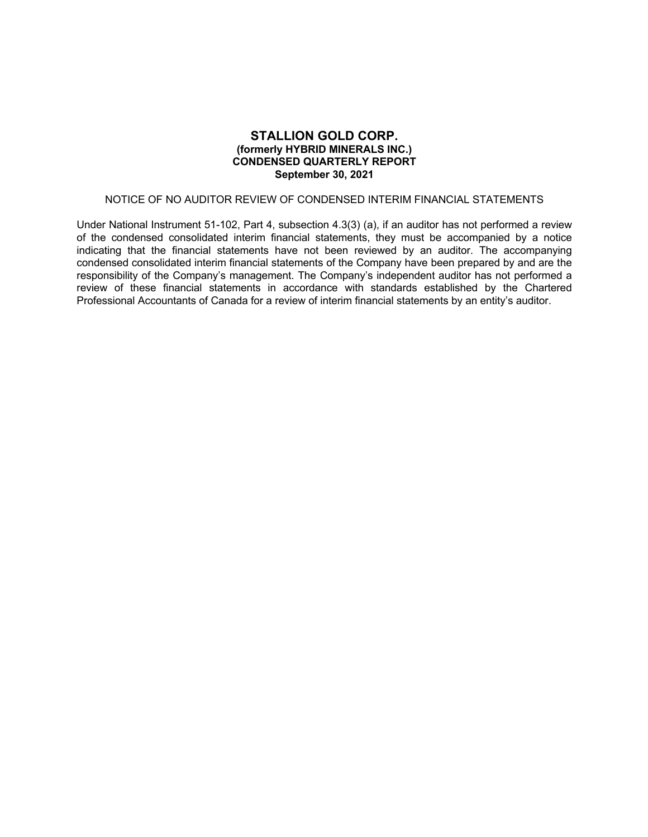## **STALLION GOLD CORP. (formerly HYBRID MINERALS INC.) CONDENSED QUARTERLY REPORT September 30, 2021**

## NOTICE OF NO AUDITOR REVIEW OF CONDENSED INTERIM FINANCIAL STATEMENTS

Under National Instrument 51-102, Part 4, subsection 4.3(3) (a), if an auditor has not performed a review of the condensed consolidated interim financial statements, they must be accompanied by a notice indicating that the financial statements have not been reviewed by an auditor. The accompanying condensed consolidated interim financial statements of the Company have been prepared by and are the responsibility of the Company's management. The Company's independent auditor has not performed a review of these financial statements in accordance with standards established by the Chartered Professional Accountants of Canada for a review of interim financial statements by an entity's auditor.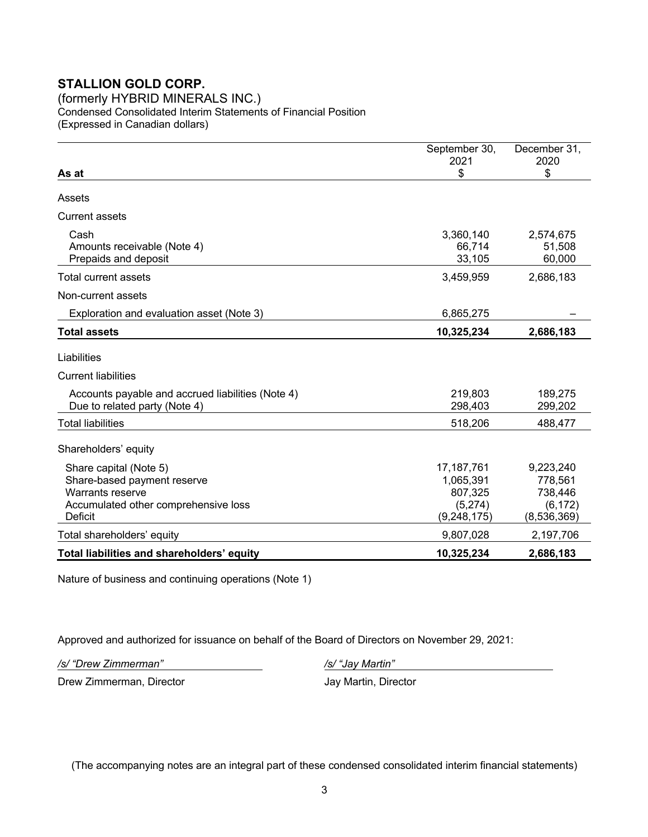(formerly HYBRID MINERALS INC.) Condensed Consolidated Interim Statements of Financial Position (Expressed in Canadian dollars)

| As at                                                                                                                        | September 30,<br>2021<br>\$                                      | December 31,<br>2020<br>\$                                 |
|------------------------------------------------------------------------------------------------------------------------------|------------------------------------------------------------------|------------------------------------------------------------|
| Assets                                                                                                                       |                                                                  |                                                            |
| <b>Current assets</b>                                                                                                        |                                                                  |                                                            |
| Cash<br>Amounts receivable (Note 4)<br>Prepaids and deposit                                                                  | 3,360,140<br>66,714<br>33,105                                    | 2,574,675<br>51,508<br>60,000                              |
| Total current assets                                                                                                         | 3,459,959                                                        | 2,686,183                                                  |
| Non-current assets                                                                                                           |                                                                  |                                                            |
| Exploration and evaluation asset (Note 3)                                                                                    | 6,865,275                                                        |                                                            |
| <b>Total assets</b>                                                                                                          | 10,325,234                                                       | 2,686,183                                                  |
| Liabilities                                                                                                                  |                                                                  |                                                            |
| <b>Current liabilities</b>                                                                                                   |                                                                  |                                                            |
| Accounts payable and accrued liabilities (Note 4)<br>Due to related party (Note 4)                                           | 219,803<br>298,403                                               | 189,275<br>299,202                                         |
| <b>Total liabilities</b>                                                                                                     | 518,206                                                          | 488,477                                                    |
| Shareholders' equity                                                                                                         |                                                                  |                                                            |
| Share capital (Note 5)<br>Share-based payment reserve<br>Warrants reserve<br>Accumulated other comprehensive loss<br>Deficit | 17, 187, 761<br>1,065,391<br>807,325<br>(5,274)<br>(9, 248, 175) | 9,223,240<br>778,561<br>738,446<br>(6, 172)<br>(8,536,369) |
| Total shareholders' equity                                                                                                   | 9,807,028                                                        | 2,197,706                                                  |
| Total liabilities and shareholders' equity                                                                                   | 10,325,234                                                       | 2,686,183                                                  |

Nature of business and continuing operations (Note 1)

Approved and authorized for issuance on behalf of the Board of Directors on November 29, 2021:

*/s/ "Drew Zimmerman" /s/ "Jay Martin"*

Drew Zimmerman, Director **Jay Martin, Director** Jay Martin, Director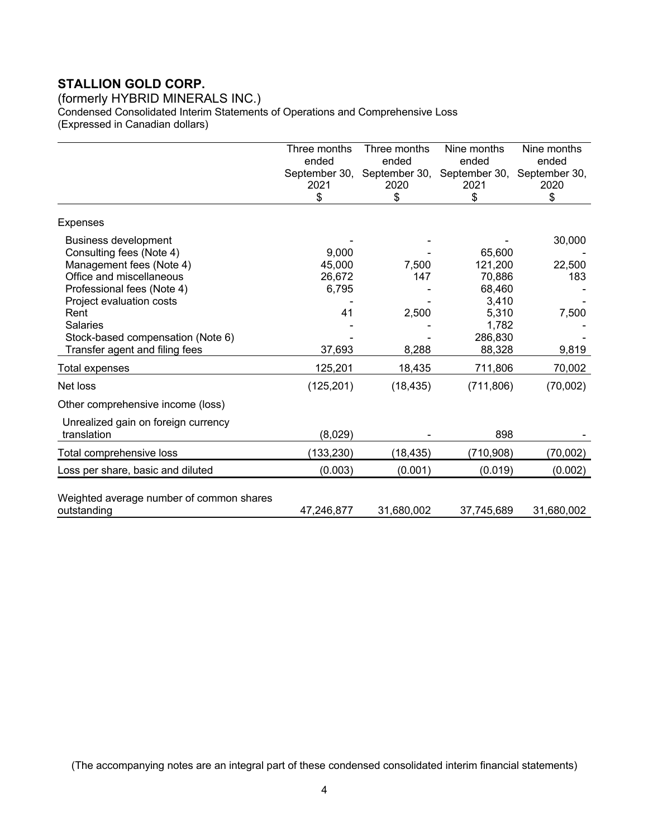(formerly HYBRID MINERALS INC.) Condensed Consolidated Interim Statements of Operations and Comprehensive Loss (Expressed in Canadian dollars)

|                                                                                                                                                                                                                                                                      | Three months<br>ended<br>September 30,<br>2021<br>\$ | Three months<br>ended<br>September 30,<br>2020<br>\$ | Nine months<br>ended<br>September 30,<br>2021<br>\$                                   | Nine months<br>ended<br>September 30,<br>2020<br>\$ |
|----------------------------------------------------------------------------------------------------------------------------------------------------------------------------------------------------------------------------------------------------------------------|------------------------------------------------------|------------------------------------------------------|---------------------------------------------------------------------------------------|-----------------------------------------------------|
| <b>Expenses</b>                                                                                                                                                                                                                                                      |                                                      |                                                      |                                                                                       |                                                     |
| <b>Business development</b><br>Consulting fees (Note 4)<br>Management fees (Note 4)<br>Office and miscellaneous<br>Professional fees (Note 4)<br>Project evaluation costs<br>Rent<br>Salaries<br>Stock-based compensation (Note 6)<br>Transfer agent and filing fees | 9,000<br>45,000<br>26,672<br>6,795<br>41<br>37,693   | 7,500<br>147<br>2,500<br>8,288                       | 65,600<br>121,200<br>70,886<br>68,460<br>3,410<br>5,310<br>1,782<br>286,830<br>88,328 | 30,000<br>22,500<br>183<br>7,500<br>9,819           |
| Total expenses                                                                                                                                                                                                                                                       | 125,201                                              | 18,435                                               | 711,806                                                                               | 70,002                                              |
| Net loss                                                                                                                                                                                                                                                             | (125, 201)                                           | (18, 435)                                            | (711, 806)                                                                            | (70,002)                                            |
| Other comprehensive income (loss)<br>Unrealized gain on foreign currency<br>translation                                                                                                                                                                              | (8,029)                                              |                                                      | 898                                                                                   |                                                     |
| Total comprehensive loss                                                                                                                                                                                                                                             | (133, 230)                                           | (18, 435)                                            | (710, 908)                                                                            | (70,002)                                            |
| Loss per share, basic and diluted                                                                                                                                                                                                                                    | (0.003)                                              | (0.001)                                              | (0.019)                                                                               | (0.002)                                             |
| Weighted average number of common shares<br>outstanding                                                                                                                                                                                                              | 47,246,877                                           | 31,680,002                                           | 37,745,689                                                                            | 31,680,002                                          |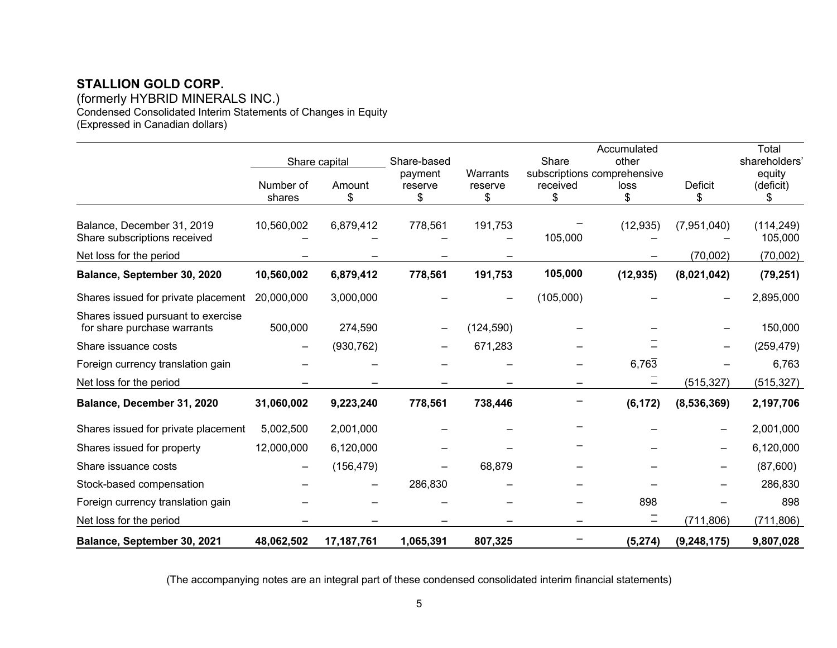(formerly HYBRID MINERALS INC.) Condensed Consolidated Interim Statements of Changes in Equity (Expressed in Canadian dollars)

|                                                                   |            |               |             |            |           | Accumulated                 |                          | Total                 |
|-------------------------------------------------------------------|------------|---------------|-------------|------------|-----------|-----------------------------|--------------------------|-----------------------|
|                                                                   |            | Share capital | Share-based |            | Share     | other                       |                          | shareholders'         |
|                                                                   |            |               | payment     | Warrants   |           | subscriptions comprehensive |                          | equity                |
|                                                                   | Number of  | Amount        | reserve     | reserve    | received  | loss                        | <b>Deficit</b>           | (deficit)             |
|                                                                   | shares     | \$            | \$          | \$         | \$        | \$                          | S.                       | \$                    |
| Balance, December 31, 2019<br>Share subscriptions received        | 10,560,002 | 6,879,412     | 778,561     | 191,753    | 105,000   | (12, 935)                   | (7,951,040)              | (114, 249)<br>105,000 |
| Net loss for the period                                           |            |               |             |            |           |                             | (70,002)                 | (70,002)              |
| Balance, September 30, 2020                                       | 10,560,002 | 6,879,412     | 778,561     | 191,753    | 105,000   | (12, 935)                   | (8,021,042)              | (79, 251)             |
| Shares issued for private placement                               | 20,000,000 | 3,000,000     |             |            | (105,000) |                             |                          | 2,895,000             |
| Shares issued pursuant to exercise<br>for share purchase warrants | 500,000    | 274,590       |             | (124, 590) |           |                             |                          | 150,000               |
| Share issuance costs                                              |            | (930, 762)    |             | 671,283    |           |                             |                          | (259, 479)            |
| Foreign currency translation gain                                 |            |               |             |            |           | 6,763                       |                          | 6,763                 |
| Net loss for the period                                           |            |               |             |            | —         |                             | (515, 327)               | (515, 327)            |
| Balance, December 31, 2020                                        | 31,060,002 | 9,223,240     | 778,561     | 738,446    |           | (6, 172)                    | (8,536,369)              | 2,197,706             |
| Shares issued for private placement                               | 5,002,500  | 2,001,000     |             |            |           |                             |                          | 2,001,000             |
| Shares issued for property                                        | 12,000,000 | 6,120,000     |             |            |           |                             | $\overline{\phantom{0}}$ | 6,120,000             |
| Share issuance costs                                              |            | (156, 479)    |             | 68,879     |           |                             |                          | (87,600)              |
| Stock-based compensation                                          |            |               | 286,830     |            |           |                             |                          | 286,830               |
| Foreign currency translation gain                                 |            |               |             |            |           | 898                         |                          | 898                   |
| Net loss for the period                                           |            |               |             |            |           |                             | (711, 806)               | (711, 806)            |
| Balance, September 30, 2021                                       | 48,062,502 | 17,187,761    | 1,065,391   | 807,325    |           | (5, 274)                    | (9, 248, 175)            | 9,807,028             |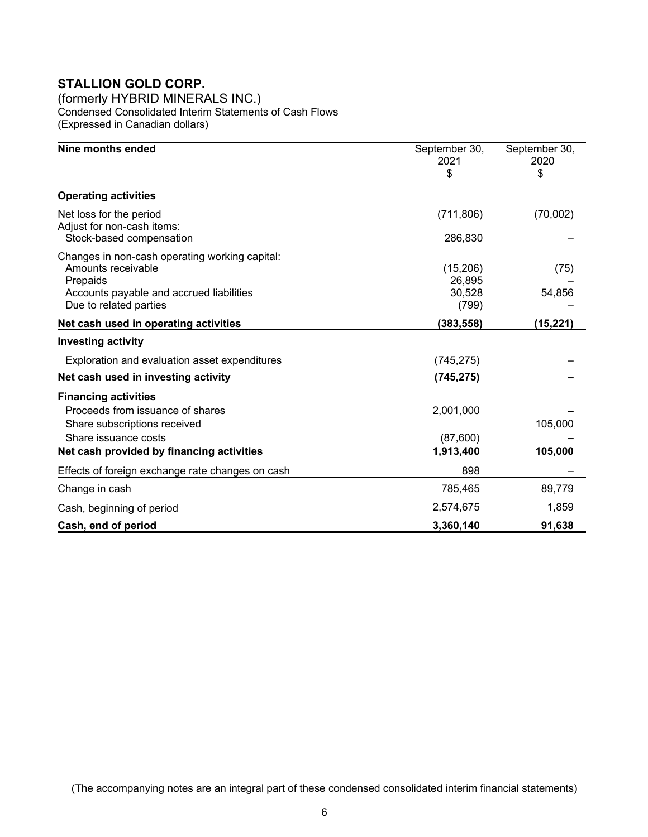(formerly HYBRID MINERALS INC.) Condensed Consolidated Interim Statements of Cash Flows (Expressed in Canadian dollars)

| Nine months ended                                                                                                                                      | September 30,<br>2021<br>\$           | September 30,<br>2020<br>\$ |
|--------------------------------------------------------------------------------------------------------------------------------------------------------|---------------------------------------|-----------------------------|
| <b>Operating activities</b>                                                                                                                            |                                       |                             |
| Net loss for the period<br>Adjust for non-cash items:<br>Stock-based compensation                                                                      | (711, 806)<br>286,830                 | (70,002)                    |
| Changes in non-cash operating working capital:<br>Amounts receivable<br>Prepaids<br>Accounts payable and accrued liabilities<br>Due to related parties | (15,206)<br>26,895<br>30,528<br>(799) | (75)<br>54,856              |
| Net cash used in operating activities                                                                                                                  | (383, 558)                            | (15, 221)                   |
| <b>Investing activity</b>                                                                                                                              |                                       |                             |
| Exploration and evaluation asset expenditures                                                                                                          | (745,275)                             |                             |
| Net cash used in investing activity                                                                                                                    | (745, 275)                            |                             |
| <b>Financing activities</b><br>Proceeds from issuance of shares<br>Share subscriptions received                                                        | 2,001,000                             | 105,000                     |
| Share issuance costs                                                                                                                                   | (87,600)                              | 105,000                     |
| Net cash provided by financing activities<br>Effects of foreign exchange rate changes on cash                                                          | 1,913,400<br>898                      |                             |
| Change in cash                                                                                                                                         | 785,465                               | 89,779                      |
| Cash, beginning of period                                                                                                                              | 2,574,675                             | 1,859                       |
| Cash, end of period                                                                                                                                    | 3,360,140                             | 91,638                      |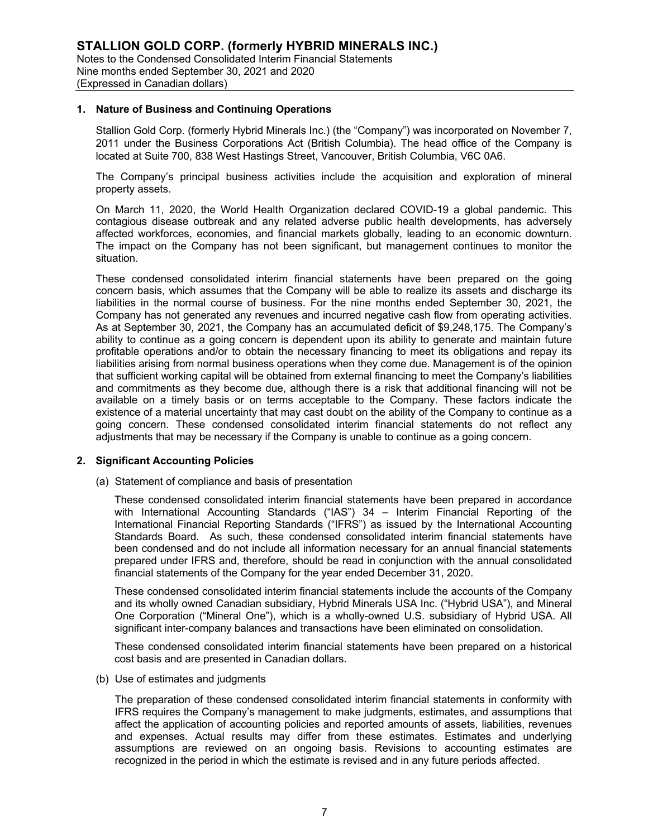#### **1. Nature of Business and Continuing Operations**

Stallion Gold Corp. (formerly Hybrid Minerals Inc.) (the "Company") was incorporated on November 7, 2011 under the Business Corporations Act (British Columbia). The head office of the Company is located at Suite 700, 838 West Hastings Street, Vancouver, British Columbia, V6C 0A6.

The Company's principal business activities include the acquisition and exploration of mineral property assets.

On March 11, 2020, the World Health Organization declared COVID-19 a global pandemic. This contagious disease outbreak and any related adverse public health developments, has adversely affected workforces, economies, and financial markets globally, leading to an economic downturn. The impact on the Company has not been significant, but management continues to monitor the situation.

These condensed consolidated interim financial statements have been prepared on the going concern basis, which assumes that the Company will be able to realize its assets and discharge its liabilities in the normal course of business. For the nine months ended September 30, 2021, the Company has not generated any revenues and incurred negative cash flow from operating activities. As at September 30, 2021, the Company has an accumulated deficit of \$9,248,175. The Company's ability to continue as a going concern is dependent upon its ability to generate and maintain future profitable operations and/or to obtain the necessary financing to meet its obligations and repay its liabilities arising from normal business operations when they come due. Management is of the opinion that sufficient working capital will be obtained from external financing to meet the Company's liabilities and commitments as they become due, although there is a risk that additional financing will not be available on a timely basis or on terms acceptable to the Company. These factors indicate the existence of a material uncertainty that may cast doubt on the ability of the Company to continue as a going concern. These condensed consolidated interim financial statements do not reflect any adjustments that may be necessary if the Company is unable to continue as a going concern.

#### **2. Significant Accounting Policies**

(a) Statement of compliance and basis of presentation

These condensed consolidated interim financial statements have been prepared in accordance with International Accounting Standards ("IAS") 34 – Interim Financial Reporting of the International Financial Reporting Standards ("IFRS") as issued by the International Accounting Standards Board. As such, these condensed consolidated interim financial statements have been condensed and do not include all information necessary for an annual financial statements prepared under IFRS and, therefore, should be read in conjunction with the annual consolidated financial statements of the Company for the year ended December 31, 2020.

These condensed consolidated interim financial statements include the accounts of the Company and its wholly owned Canadian subsidiary, Hybrid Minerals USA Inc. ("Hybrid USA"), and Mineral One Corporation ("Mineral One"), which is a wholly-owned U.S. subsidiary of Hybrid USA. All significant inter-company balances and transactions have been eliminated on consolidation.

These condensed consolidated interim financial statements have been prepared on a historical cost basis and are presented in Canadian dollars.

(b) Use of estimates and judgments

The preparation of these condensed consolidated interim financial statements in conformity with IFRS requires the Company's management to make judgments, estimates, and assumptions that affect the application of accounting policies and reported amounts of assets, liabilities, revenues and expenses. Actual results may differ from these estimates. Estimates and underlying assumptions are reviewed on an ongoing basis. Revisions to accounting estimates are recognized in the period in which the estimate is revised and in any future periods affected.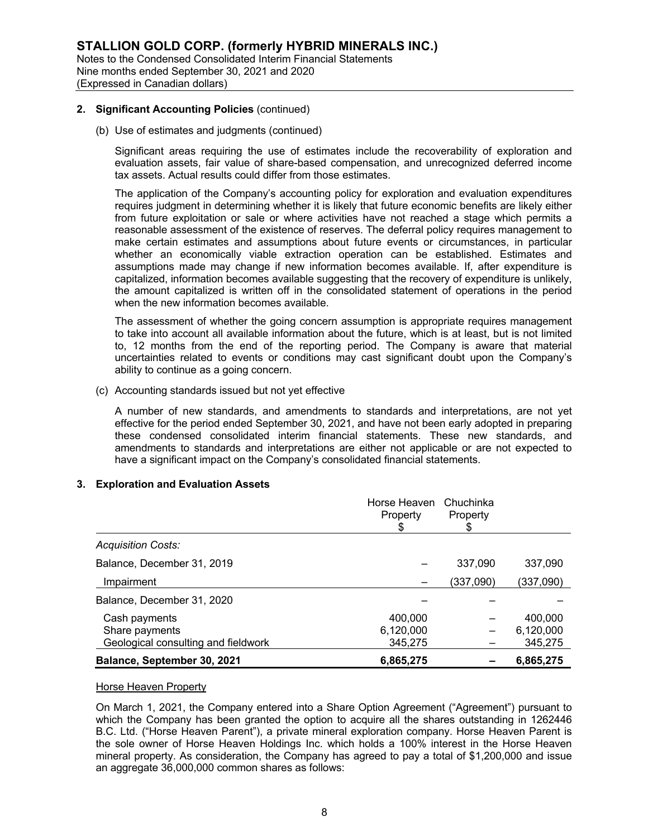#### **2. Significant Accounting Policies** (continued)

(b) Use of estimates and judgments (continued)

Significant areas requiring the use of estimates include the recoverability of exploration and evaluation assets, fair value of share-based compensation, and unrecognized deferred income tax assets. Actual results could differ from those estimates.

The application of the Company's accounting policy for exploration and evaluation expenditures requires judgment in determining whether it is likely that future economic benefits are likely either from future exploitation or sale or where activities have not reached a stage which permits a reasonable assessment of the existence of reserves. The deferral policy requires management to make certain estimates and assumptions about future events or circumstances, in particular whether an economically viable extraction operation can be established. Estimates and assumptions made may change if new information becomes available. If, after expenditure is capitalized, information becomes available suggesting that the recovery of expenditure is unlikely, the amount capitalized is written off in the consolidated statement of operations in the period when the new information becomes available.

The assessment of whether the going concern assumption is appropriate requires management to take into account all available information about the future, which is at least, but is not limited to, 12 months from the end of the reporting period. The Company is aware that material uncertainties related to events or conditions may cast significant doubt upon the Company's ability to continue as a going concern.

(c) Accounting standards issued but not yet effective

A number of new standards, and amendments to standards and interpretations, are not yet effective for the period ended September 30, 2021, and have not been early adopted in preparing these condensed consolidated interim financial statements. These new standards, and amendments to standards and interpretations are either not applicable or are not expected to have a significant impact on the Company's consolidated financial statements.

### **3. Exploration and Evaluation Assets**

|                                     | Horse Heaven<br>Property | Chuchinka<br>Property |           |
|-------------------------------------|--------------------------|-----------------------|-----------|
| <b>Acquisition Costs:</b>           |                          |                       |           |
| Balance, December 31, 2019          |                          | 337,090               | 337,090   |
| Impairment                          |                          | (337,090)             | (337,090) |
| Balance, December 31, 2020          |                          |                       |           |
| Cash payments                       | 400,000                  |                       | 400,000   |
| Share payments                      | 6,120,000                |                       | 6,120,000 |
| Geological consulting and fieldwork | 345,275                  |                       | 345,275   |
| Balance, September 30, 2021         | 6,865,275                |                       | 6,865,275 |

### Horse Heaven Property

On March 1, 2021, the Company entered into a Share Option Agreement ("Agreement") pursuant to which the Company has been granted the option to acquire all the shares outstanding in 1262446 B.C. Ltd. ("Horse Heaven Parent"), a private mineral exploration company. Horse Heaven Parent is the sole owner of Horse Heaven Holdings Inc. which holds a 100% interest in the Horse Heaven mineral property. As consideration, the Company has agreed to pay a total of \$1,200,000 and issue an aggregate 36,000,000 common shares as follows: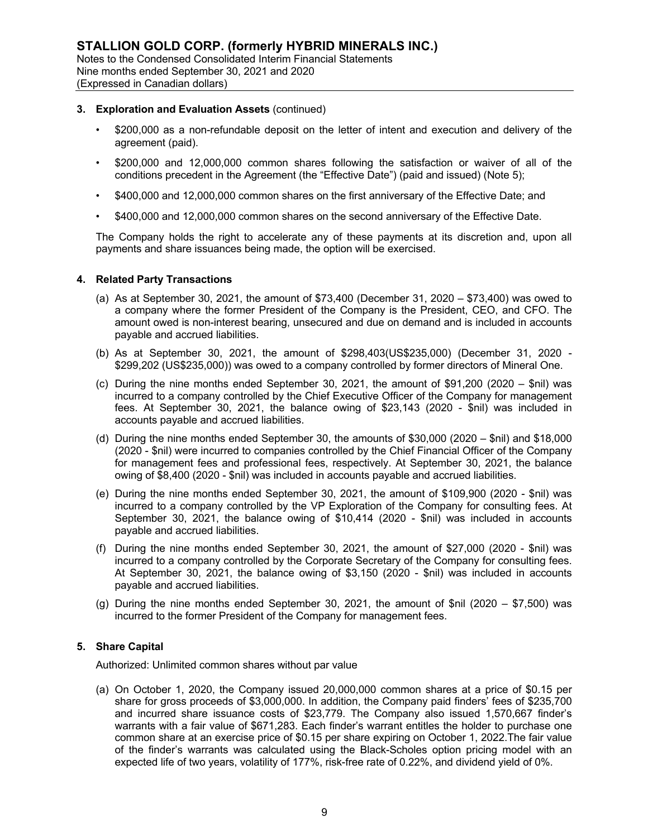## **3. Exploration and Evaluation Assets** (continued)

- \$200,000 as a non-refundable deposit on the letter of intent and execution and delivery of the agreement (paid).
- \$200,000 and 12,000,000 common shares following the satisfaction or waiver of all of the conditions precedent in the Agreement (the "Effective Date") (paid and issued) (Note 5);
- \$400,000 and 12,000,000 common shares on the first anniversary of the Effective Date; and
- \$400,000 and 12,000,000 common shares on the second anniversary of the Effective Date.

The Company holds the right to accelerate any of these payments at its discretion and, upon all payments and share issuances being made, the option will be exercised.

## **4. Related Party Transactions**

- (a) As at September 30, 2021, the amount of  $$73,400$  (December 31, 2020  $$73,400$ ) was owed to a company where the former President of the Company is the President, CEO, and CFO. The amount owed is non-interest bearing, unsecured and due on demand and is included in accounts payable and accrued liabilities.
- (b) As at September 30, 2021, the amount of \$298,403(US\$235,000) (December 31, 2020 \$299,202 (US\$235,000)) was owed to a company controlled by former directors of Mineral One.
- (c) During the nine months ended September 30, 2021, the amount of \$91,200 (2020 \$nil) was incurred to a company controlled by the Chief Executive Officer of the Company for management fees. At September 30, 2021, the balance owing of \$23,143 (2020 - \$nil) was included in accounts payable and accrued liabilities.
- (d) During the nine months ended September 30, the amounts of \$30,000 (2020 \$nil) and \$18,000 (2020 - \$nil) were incurred to companies controlled by the Chief Financial Officer of the Company for management fees and professional fees, respectively. At September 30, 2021, the balance owing of \$8,400 (2020 - \$nil) was included in accounts payable and accrued liabilities.
- (e) During the nine months ended September 30, 2021, the amount of \$109,900 (2020 \$nil) was incurred to a company controlled by the VP Exploration of the Company for consulting fees. At September 30, 2021, the balance owing of \$10,414 (2020 - \$nil) was included in accounts payable and accrued liabilities.
- (f) During the nine months ended September 30, 2021, the amount of \$27,000 (2020 \$nil) was incurred to a company controlled by the Corporate Secretary of the Company for consulting fees. At September 30, 2021, the balance owing of \$3,150 (2020 - \$nil) was included in accounts payable and accrued liabilities.
- (g) During the nine months ended September 30, 2021, the amount of  $\text{\$nil}$  (2020  $\text{\$7,500}$ ) was incurred to the former President of the Company for management fees.

## **5. Share Capital**

Authorized: Unlimited common shares without par value

(a) On October 1, 2020, the Company issued 20,000,000 common shares at a price of \$0.15 per share for gross proceeds of \$3,000,000. In addition, the Company paid finders' fees of \$235,700 and incurred share issuance costs of \$23,779. The Company also issued 1,570,667 finder's warrants with a fair value of \$671,283. Each finder's warrant entitles the holder to purchase one common share at an exercise price of \$0.15 per share expiring on October 1, 2022.The fair value of the finder's warrants was calculated using the Black-Scholes option pricing model with an expected life of two years, volatility of 177%, risk-free rate of 0.22%, and dividend yield of 0%.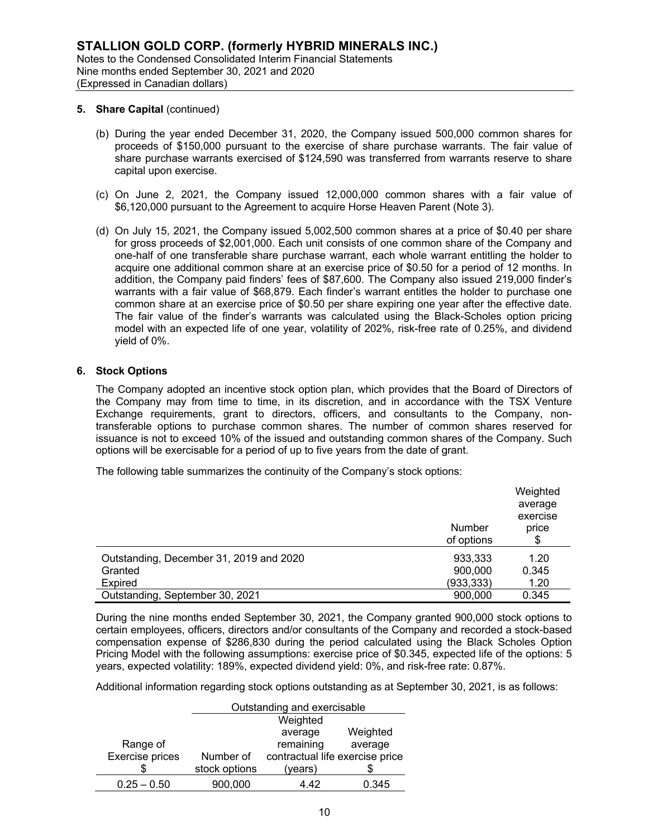#### **5. Share Capital** (continued)

- (b) During the year ended December 31, 2020, the Company issued 500,000 common shares for proceeds of \$150,000 pursuant to the exercise of share purchase warrants. The fair value of share purchase warrants exercised of \$124,590 was transferred from warrants reserve to share capital upon exercise.
- (c) On June 2, 2021, the Company issued 12,000,000 common shares with a fair value of \$6,120,000 pursuant to the Agreement to acquire Horse Heaven Parent (Note 3).
- (d) On July 15, 2021, the Company issued 5,002,500 common shares at a price of \$0.40 per share for gross proceeds of \$2,001,000. Each unit consists of one common share of the Company and one-half of one transferable share purchase warrant, each whole warrant entitling the holder to acquire one additional common share at an exercise price of \$0.50 for a period of 12 months. In addition, the Company paid finders' fees of \$87,600. The Company also issued 219,000 finder's warrants with a fair value of \$68,879. Each finder's warrant entitles the holder to purchase one common share at an exercise price of \$0.50 per share expiring one year after the effective date. The fair value of the finder's warrants was calculated using the Black-Scholes option pricing model with an expected life of one year, volatility of 202%, risk-free rate of 0.25%, and dividend yield of 0%.

### **6. Stock Options**

The Company adopted an incentive stock option plan, which provides that the Board of Directors of the Company may from time to time, in its discretion, and in accordance with the TSX Venture Exchange requirements, grant to directors, officers, and consultants to the Company, nontransferable options to purchase common shares. The number of common shares reserved for issuance is not to exceed 10% of the issued and outstanding common shares of the Company. Such options will be exercisable for a period of up to five years from the date of grant.

The following table summarizes the continuity of the Company's stock options:

|                                         | Number<br>of options | Weighted<br>average<br>exercise<br>price |
|-----------------------------------------|----------------------|------------------------------------------|
| Outstanding, December 31, 2019 and 2020 | 933,333              | 1.20                                     |
| Granted                                 | 900,000              | 0.345                                    |
| Expired                                 | (933, 333)           | 1.20                                     |
| Outstanding, September 30, 2021         | 900,000              | 0.345                                    |

During the nine months ended September 30, 2021, the Company granted 900,000 stock options to certain employees, officers, directors and/or consultants of the Company and recorded a stock-based compensation expense of \$286,830 during the period calculated using the Black Scholes Option Pricing Model with the following assumptions: exercise price of \$0.345, expected life of the options: 5 years, expected volatility: 189%, expected dividend yield: 0%, and risk-free rate: 0.87%.

Additional information regarding stock options outstanding as at September 30, 2021, is as follows:

|                 |               | Outstanding and exercisable     |          |  |
|-----------------|---------------|---------------------------------|----------|--|
|                 |               | Weighted                        |          |  |
|                 |               | average                         | Weighted |  |
| Range of        |               | remaining                       | average  |  |
| Exercise prices | Number of     | contractual life exercise price |          |  |
|                 | stock options | (years)                         |          |  |
| $0.25 - 0.50$   | 900,000       | 4 42                            | 0.345    |  |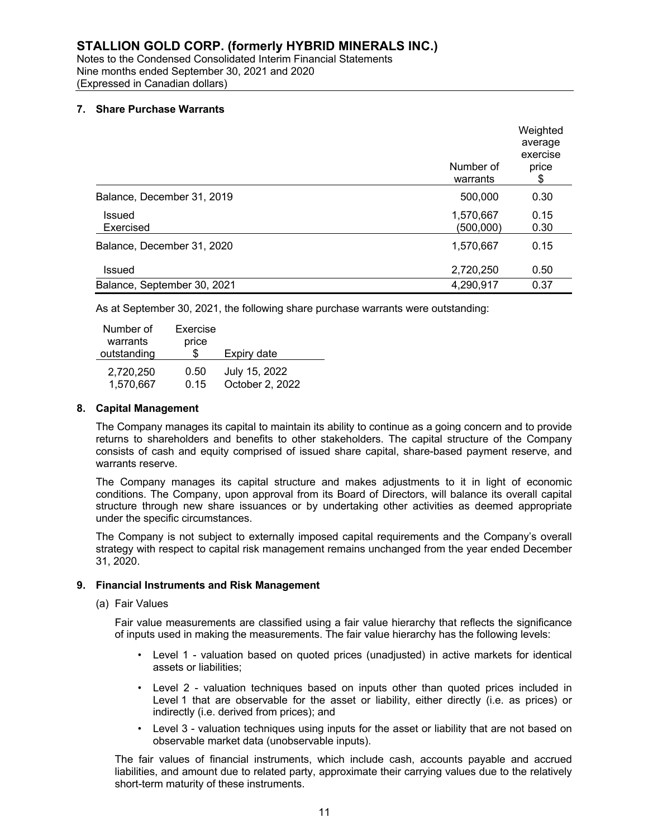# (Expressed in Canadian dollars)

## **7. Share Purchase Warrants**

|                             | Number of<br>warrants  | Weighted<br>average<br>exercise<br>price<br>\$ |
|-----------------------------|------------------------|------------------------------------------------|
| Balance, December 31, 2019  | 500,000                | 0.30                                           |
| Issued<br>Exercised         | 1,570,667<br>(500,000) | 0.15<br>0.30                                   |
| Balance, December 31, 2020  | 1,570,667              | 0.15                                           |
| Issued                      | 2,720,250              | 0.50                                           |
| Balance, September 30, 2021 | 4,290,917              | 0.37                                           |

As at September 30, 2021, the following share purchase warrants were outstanding:

| Number of   | Exercise |                 |
|-------------|----------|-----------------|
| warrants    | price    |                 |
| outstanding | \$       | Expiry date     |
| 2,720,250   | 0.50     | July 15, 2022   |
| 1,570,667   | 0.15     | October 2, 2022 |

#### **8. Capital Management**

The Company manages its capital to maintain its ability to continue as a going concern and to provide returns to shareholders and benefits to other stakeholders. The capital structure of the Company consists of cash and equity comprised of issued share capital, share-based payment reserve, and warrants reserve.

The Company manages its capital structure and makes adjustments to it in light of economic conditions. The Company, upon approval from its Board of Directors, will balance its overall capital structure through new share issuances or by undertaking other activities as deemed appropriate under the specific circumstances.

The Company is not subject to externally imposed capital requirements and the Company's overall strategy with respect to capital risk management remains unchanged from the year ended December 31, 2020.

#### **9. Financial Instruments and Risk Management**

(a) Fair Values

Fair value measurements are classified using a fair value hierarchy that reflects the significance of inputs used in making the measurements. The fair value hierarchy has the following levels:

- Level 1 valuation based on quoted prices (unadjusted) in active markets for identical assets or liabilities;
- Level 2 valuation techniques based on inputs other than quoted prices included in Level 1 that are observable for the asset or liability, either directly (i.e. as prices) or indirectly (i.e. derived from prices); and
- Level 3 valuation techniques using inputs for the asset or liability that are not based on observable market data (unobservable inputs).

The fair values of financial instruments, which include cash, accounts payable and accrued liabilities, and amount due to related party, approximate their carrying values due to the relatively short-term maturity of these instruments.